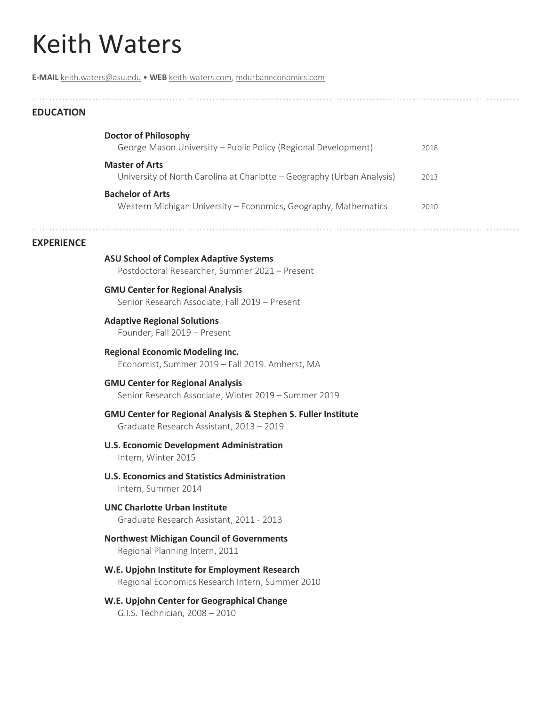# Keith Waters

**E-MAIL** [keith.waters@asu.edu](mailto:keith.waters@asu.edu) • **WEB** [keith-waters.com,](https://keith-waters.com/) [mdurbaneconomics.com](https://mdurbaneconomics.com/)

## **EDUCATION**

| <b>Doctor of Philosophy</b>                                                                     |      |
|-------------------------------------------------------------------------------------------------|------|
| George Mason University - Public Policy (Regional Development)                                  | 2018 |
| <b>Master of Arts</b><br>University of North Carolina at Charlotte – Geography (Urban Analysis) | 2013 |
| <b>Bachelor of Arts</b><br>Western Michigan University - Economics, Geography, Mathematics      | 2010 |

#### **EXPERIENCE**

**ASU School of Complex Adaptive Systems** Postdoctoral Researcher, Summer 2021 – Present **GMU Center for Regional Analysis** Senior Research Associate, Fall 2019 – Present **Adaptive Regional Solutions**

Founder, Fall 2019 – Present

**Regional Economic Modeling Inc.** Economist, Summer 2019 – Fall 2019. Amherst, MA

## **GMU Center for Regional Analysis** Senior Research Associate, Winter 2019 – Summer 2019

### **GMU Center for Regional Analysis & Stephen S. Fuller Institute** Graduate Research Assistant, 2013 – 2019

## **U.S. Economic Development Administration**

Intern, Winter 2015

**U.S. Economics and Statistics Administration** Intern, Summer 2014

## **UNC Charlotte Urban Institute** Graduate Research Assistant, 2011 - 2013

**Northwest Michigan Council of Governments** Regional Planning Intern, 2011

## **W.E. Upjohn Institute for Employment Research** Regional Economics Research Intern, Summer 2010

### **W.E. Upjohn Center for Geographical Change** G.I.S. Technician, 2008 – 2010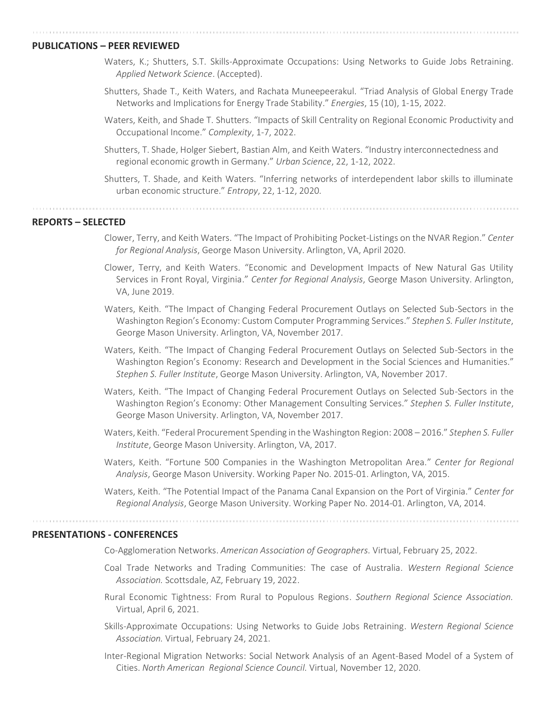#### **PUBLICATIONS – PEER REVIEWED**

- Waters, K.; Shutters, S.T. Skills-Approximate Occupations: Using Networks to Guide Jobs Retraining. *Applied Network Science*. (Accepted).
- Shutters, Shade T., Keith Waters, and Rachata Muneepeerakul. "Triad Analysis of Global Energy Trade Networks and Implications for Energy Trade Stability." *Energies*, 15 (10), 1-15, 2022.
- Waters, Keith, and Shade T. Shutters. "Impacts of Skill Centrality on Regional Economic Productivity and Occupational Income." *Complexity*, 1-7, 2022.
- Shutters, T. Shade, Holger Siebert, Bastian Alm, and Keith Waters. "Industry interconnectedness and regional economic growth in Germany." *Urban Science*, 22, 1-12, 2022.
- Shutters, T. Shade, and Keith Waters. "Inferring networks of interdependent labor skills to illuminate urban economic structure." *Entropy*, 22, 1-12, 2020.

**REPORTS – SELECTED**

- Clower, Terry, and Keith Waters. "The Impact of Prohibiting Pocket-Listings on the NVAR Region." *Center for Regional Analysis*, George Mason University. Arlington, VA, April 2020.
- Clower, Terry, and Keith Waters. "Economic and Development Impacts of New Natural Gas Utility Services in Front Royal, Virginia." *Center for Regional Analysis*, George Mason University. Arlington, VA, June 2019.
- Waters, Keith. "The Impact of Changing Federal Procurement Outlays on Selected Sub-Sectors in the Washington Region's Economy: Custom Computer Programming Services." *Stephen S. Fuller Institute*, George Mason University. Arlington, VA, November 2017.
- Waters, Keith. "The Impact of Changing Federal Procurement Outlays on Selected Sub-Sectors in the Washington Region's Economy: Research and Development in the Social Sciences and Humanities." *Stephen S. Fuller Institute*, George Mason University. Arlington, VA, November 2017.
- Waters, Keith. "The Impact of Changing Federal Procurement Outlays on Selected Sub-Sectors in the Washington Region's Economy: Other Management Consulting Services." *Stephen S. Fuller Institute*, George Mason University. Arlington, VA, November 2017.
- Waters, Keith. "Federal Procurement Spending in the Washington Region: 2008 2016." *Stephen S. Fuller Institute*, George Mason University. Arlington, VA, 2017.
- Waters, Keith. "Fortune 500 Companies in the Washington Metropolitan Area." *Center for Regional Analysis*, George Mason University. Working Paper No. 2015-01. Arlington, VA, 2015.
- Waters, Keith. "The Potential Impact of the Panama Canal Expansion on the Port of Virginia." *Center for Regional Analysis*, George Mason University. Working Paper No. 2014-01. Arlington, VA, 2014.

#### **PRESENTATIONS - CONFERENCES**

Co-Agglomeration Networks. *American Association of Geographers.* Virtual, February 25, 2022.

- Coal Trade Networks and Trading Communities: The case of Australia. *Western Regional Science Association.* Scottsdale, AZ, February 19, 2022.
- Rural Economic Tightness: From Rural to Populous Regions. *Southern Regional Science Association.* Virtual, April 6, 2021.
- Skills-Approximate Occupations: Using Networks to Guide Jobs Retraining. *Western Regional Science Association.* Virtual, February 24, 2021.
- Inter-Regional Migration Networks: Social Network Analysis of an Agent-Based Model of a System of Cities. *North American Regional Science Council.* Virtual, November 12, 2020.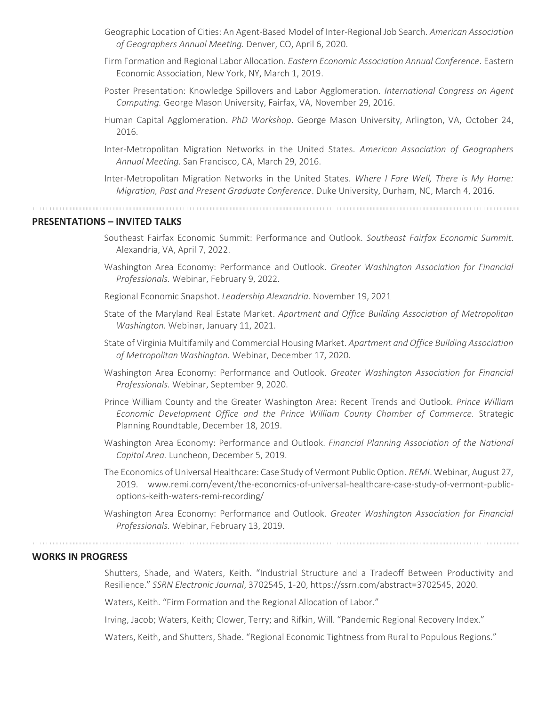- Geographic Location of Cities: An Agent-Based Model of Inter-Regional Job Search. *American Association of Geographers Annual Meeting.* Denver, CO, April 6, 2020.
- Firm Formation and Regional Labor Allocation. *Eastern Economic Association Annual Conference.* Eastern Economic Association, New York, NY, March 1, 2019.
- Poster Presentation: Knowledge Spillovers and Labor Agglomeration. *International Congress on Agent Computing.* George Mason University, Fairfax, VA, November 29, 2016.
- Human Capital Agglomeration. *PhD Workshop*. George Mason University, Arlington, VA, October 24, 2016.
- Inter-Metropolitan Migration Networks in the United States. *American Association of Geographers Annual Meeting.* San Francisco, CA, March 29, 2016.
- Inter-Metropolitan Migration Networks in the United States. *Where I Fare Well, There is My Home: Migration, Past and Present Graduate Conference*. Duke University, Durham, NC, March 4, 2016.

## **PRESENTATIONS – INVITED TALKS**

- Southeast Fairfax Economic Summit: Performance and Outlook. *Southeast Fairfax Economic Summit.* Alexandria, VA, April 7, 2022.
- Washington Area Economy: Performance and Outlook. *Greater Washington Association for Financial Professionals.* Webinar, February 9, 2022.
- Regional Economic Snapshot. *Leadership Alexandria.* November 19, 2021
- State of the Maryland Real Estate Market. *Apartment and Office Building Association of Metropolitan Washington.* Webinar, January 11, 2021.
- State of Virginia Multifamily and Commercial Housing Market. *Apartment and Office Building Association of Metropolitan Washington.* Webinar, December 17, 2020.
- Washington Area Economy: Performance and Outlook. *Greater Washington Association for Financial Professionals.* Webinar, September 9, 2020.
- Prince William County and the Greater Washington Area: Recent Trends and Outlook. *Prince William Economic Development Office and the Prince William County Chamber of Commerce.* Strategic Planning Roundtable, December 18, 2019.
- Washington Area Economy: Performance and Outlook. *Financial Planning Association of the National Capital Area.* Luncheon, December 5, 2019.
- The Economics of Universal Healthcare: Case Study of Vermont Public Option. *REMI*. Webinar, August 27, 2019. www.remi.com/event/the-economics-of-universal-healthcare-case-study-of-vermont-publicoptions-keith-waters-remi-recording/
- Washington Area Economy: Performance and Outlook. *Greater Washington Association for Financial Professionals.* Webinar, February 13, 2019.

## **WORKS IN PROGRESS**

Shutters, Shade, and Waters, Keith. "Industrial Structure and a Tradeoff Between Productivity and Resilience." *SSRN Electronic Journal*, 3702545, 1-20, https://ssrn.com/abstract=3702545, 2020.

Waters, Keith. "Firm Formation and the Regional Allocation of Labor."

Irving, Jacob; Waters, Keith; Clower, Terry; and Rifkin, Will. "Pandemic Regional Recovery Index."

Waters, Keith, and Shutters, Shade. "Regional Economic Tightness from Rural to Populous Regions."